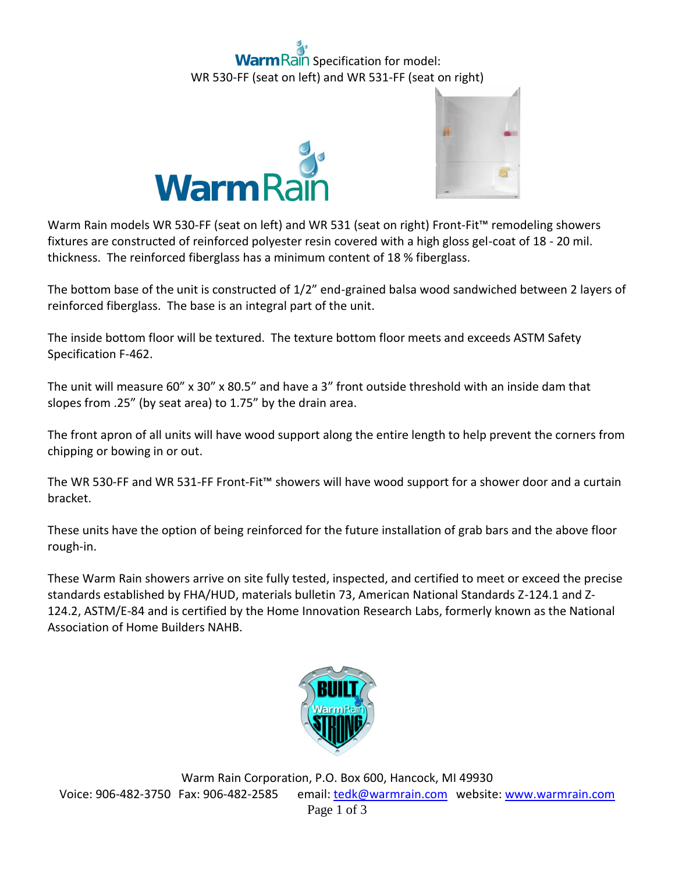## ain Specification for model: WR 530-FF (seat on left) and WR 531-FF (seat on right)





Warm Rain models WR 530-FF (seat on left) and WR 531 (seat on right) Front-Fit™ remodeling showers fixtures are constructed of reinforced polyester resin covered with a high gloss gel-coat of 18 - 20 mil. thickness. The reinforced fiberglass has a minimum content of 18 % fiberglass.

The bottom base of the unit is constructed of 1/2" end-grained balsa wood sandwiched between 2 layers of reinforced fiberglass. The base is an integral part of the unit.

The inside bottom floor will be textured. The texture bottom floor meets and exceeds ASTM Safety Specification F-462.

The unit will measure 60" x 30" x 80.5" and have a 3" front outside threshold with an inside dam that slopes from .25" (by seat area) to 1.75" by the drain area.

The front apron of all units will have wood support along the entire length to help prevent the corners from chipping or bowing in or out.

The WR 530-FF and WR 531-FF Front-Fit™ showers will have wood support for a shower door and a curtain bracket.

These units have the option of being reinforced for the future installation of grab bars and the above floor rough-in.

These Warm Rain showers arrive on site fully tested, inspected, and certified to meet or exceed the precise standards established by FHA/HUD, materials bulletin 73, American National Standards Z-124.1 and Z-124.2, ASTM/E-84 and is certified by the Home Innovation Research Labs, formerly known as the National Association of Home Builders NAHB.

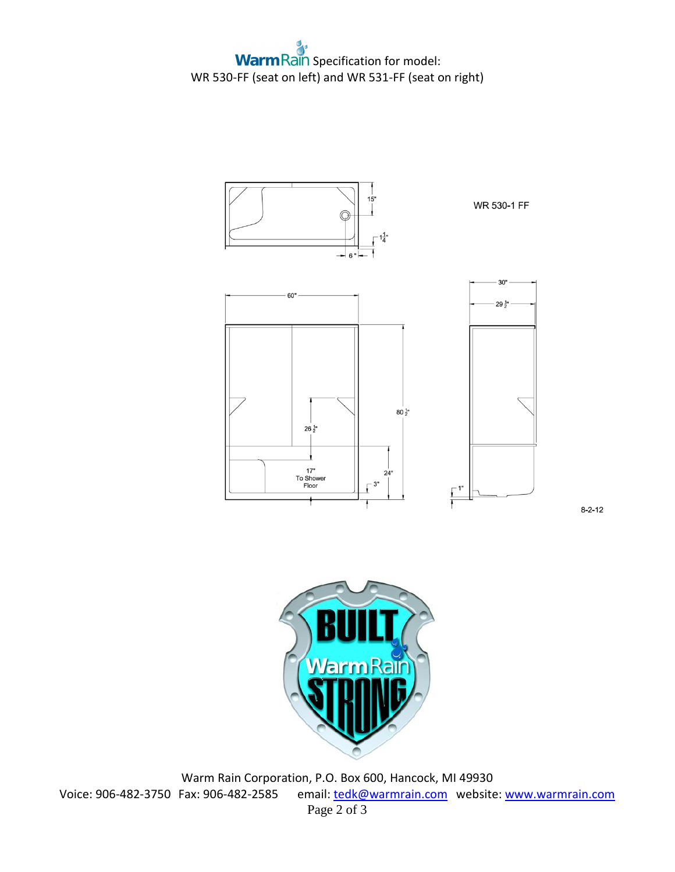$\mathbf{a}$ **Warm Rain Specification for model:** WR 530-FF (seat on left) and WR 531-FF (seat on right)



 $8 - 2 - 12$ 



Warm Rain Corporation, P.O. Box 600, Hancock, MI 49930 Voice: 906-482-3750 Fax: 906-482-2585 email[: tedk@warmrain.com](mailto:tedk@warmrain.com) website: [www.warmrain.com](http://www.warmrain.com/) Page 2 of 3